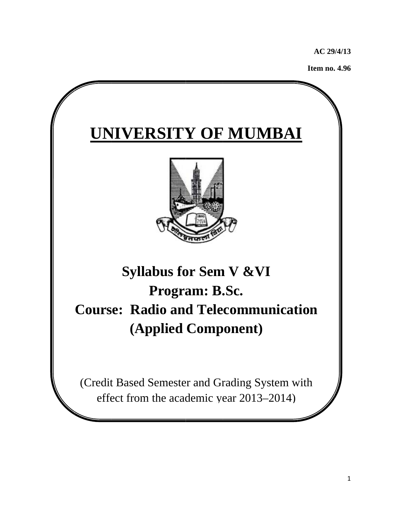**AC 29 9/4/13** 

**Item no. . 4.96**

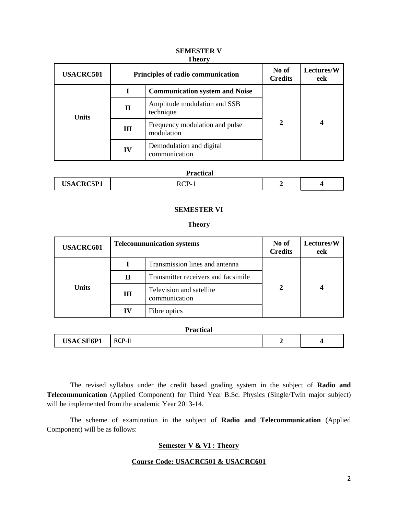| <b>USACRC501</b> |             | Principles of radio communication            | No of<br><b>Credits</b> | Lectures/W<br>eek |
|------------------|-------------|----------------------------------------------|-------------------------|-------------------|
|                  |             | <b>Communication system and Noise</b>        | 2                       |                   |
| <b>Units</b>     | $\mathbf H$ | Amplitude modulation and SSB<br>technique    |                         |                   |
|                  | Ш           | Frequency modulation and pulse<br>modulation |                         |                   |
|                  | IV          | Demodulation and digital<br>communication    |                         |                   |

### **SEMESTER V Theory**

## **Practical**

|--|

### **SEMESTER VI**

### **Theory**

| <b>USACRC601</b> |    | <b>Telecommunication systems</b>          | No of<br><b>Credits</b> | <b>Lectures/W</b><br>eek |
|------------------|----|-------------------------------------------|-------------------------|--------------------------|
| <b>Units</b>     |    | Transmission lines and antenna            | 2                       |                          |
|                  | П  | Transmitter receivers and facsimile       |                         |                          |
|                  | Ш  | Television and satellite<br>communication |                         |                          |
|                  | IV | Fibre optics                              |                         |                          |

|                  | <b>Practical</b> |                          |  |
|------------------|------------------|--------------------------|--|
| <b>USACSE6P1</b> | <b>RCP-II</b>    | $\overline{\phantom{a}}$ |  |

The revised syllabus under the credit based grading system in the subject of **Radio and Telecommunication** (Applied Component) for Third Year B.Sc. Physics (Single/Twin major subject) will be implemented from the academic Year 2013-14.

 The scheme of examination in the subject of **Radio and Telecommunication** (Applied Component) will be as follows:

## **Semester V & VI : Theory**

## **Course Code: USACRC501 & USACRC601**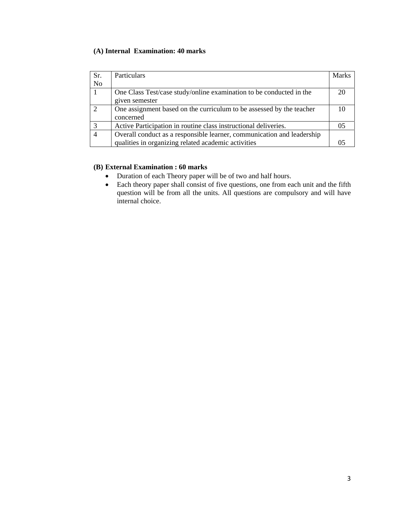## **(A) Internal Examination: 40 marks**

| Sr.            | Particulars                                                            | <b>Marks</b> |
|----------------|------------------------------------------------------------------------|--------------|
| N <sub>o</sub> |                                                                        |              |
|                | One Class Test/case study/online examination to be conducted in the    |              |
|                | given semester                                                         |              |
| $\mathcal{L}$  | One assignment based on the curriculum to be assessed by the teacher   |              |
|                | concerned                                                              |              |
|                | Active Participation in routine class instructional deliveries.        |              |
|                | Overall conduct as a responsible learner, communication and leadership |              |
|                | qualities in organizing related academic activities                    |              |

### **(B) External Examination : 60 marks**

- Duration of each Theory paper will be of two and half hours.
- Each theory paper shall consist of five questions, one from each unit and the fifth question will be from all the units. All questions are compulsory and will have internal choice.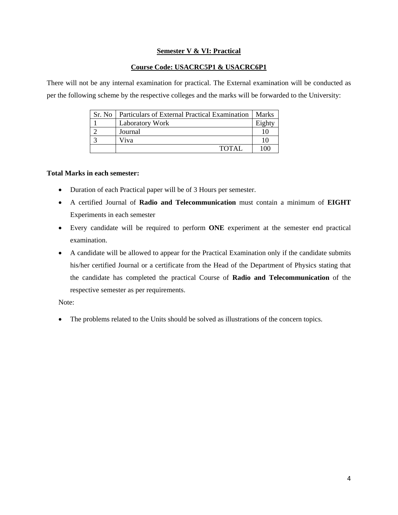## **Semester V & VI: Practical**

### **Course Code: USACRC5P1 & USACRC6P1**

There will not be any internal examination for practical. The External examination will be conducted as per the following scheme by the respective colleges and the marks will be forwarded to the University:

| Sr. No 1 | Particulars of External Practical Examination | Marks  |
|----------|-----------------------------------------------|--------|
|          | <b>Laboratory Work</b>                        | Eighty |
|          | Journal                                       |        |
|          | Viva                                          |        |
|          | TOTAL                                         | 100    |

### **Total Marks in each semester:**

- Duration of each Practical paper will be of 3 Hours per semester.
- A certified Journal of **Radio and Telecommunication** must contain a minimum of **EIGHT** Experiments in each semester
- Every candidate will be required to perform **ONE** experiment at the semester end practical examination.
- A candidate will be allowed to appear for the Practical Examination only if the candidate submits his/her certified Journal or a certificate from the Head of the Department of Physics stating that the candidate has completed the practical Course of **Radio and Telecommunication** of the respective semester as per requirements.

Note:

• The problems related to the Units should be solved as illustrations of the concern topics.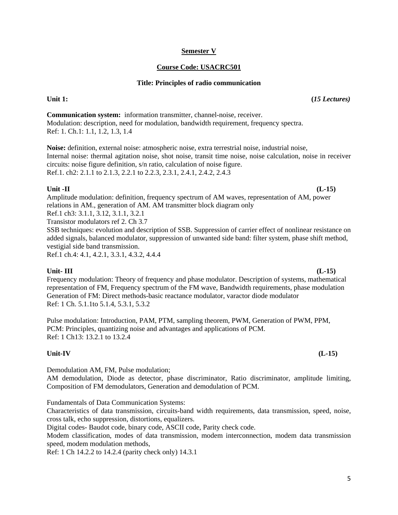### **Semester V**

## **Course Code: USACRC501**

### **Title: Principles of radio communication**

**Communication system:** information transmitter, channel-noise, receiver. Modulation: description, need for modulation, bandwidth requirement, frequency spectra. Ref: 1. Ch.1: 1.1, 1.2, 1.3, 1.4

**Noise:** definition, external noise: atmospheric noise, extra terrestrial noise, industrial noise, Internal noise: thermal agitation noise, shot noise, transit time noise, noise calculation, noise in receiver circuits: noise figure definition, s/n ratio, calculation of noise figure. Ref.1. ch2: 2.1.1 to 2.1.3, 2.2.1 to 2.2.3, 2.3.1, 2.4.1, 2.4.2, 2.4.3

## **Unit -II (L-15)**

Amplitude modulation: definition, frequency spectrum of AM waves, representation of AM, power relations in AM., generation of AM. AM transmitter block diagram only

Ref.1 ch3: 3.1.1, 3.12, 3.1.1, 3.2.1

Transistor modulators ref 2. Ch 3.7

SSB techniques: evolution and description of SSB. Suppression of carrier effect of nonlinear resistance on added signals, balanced modulator, suppression of unwanted side band: filter system, phase shift method, vestigial side band transmission.

Ref.1 ch.4: 4.1, 4.2.1, 3.3.1, 4.3.2, 4.4.4

### Unit- III (L-15)

Frequency modulation: Theory of frequency and phase modulator. Description of systems, mathematical representation of FM, Frequency spectrum of the FM wave, Bandwidth requirements, phase modulation Generation of FM: Direct methods-basic reactance modulator, varactor diode modulator Ref: 1 Ch. 5.1.1to 5.1.4, 5.3.1, 5.3.2

Pulse modulation: Introduction, PAM, PTM, sampling theorem, PWM, Generation of PWM, PPM, PCM: Principles, quantizing noise and advantages and applications of PCM. Ref: 1 Ch13: 13.2.1 to 13.2.4

## **Unit-IV (L-15)**

Demodulation AM, FM, Pulse modulation;

AM demodulation, Diode as detector, phase discriminator, Ratio discriminator, amplitude limiting, Composition of FM demodulators, Generation and demodulation of PCM.

Fundamentals of Data Communication Systems:

Characteristics of data transmission, circuits-band width requirements, data transmission, speed, noise, cross talk, echo suppression, distortions, equalizers.

Digital codes- Baudot code, binary code, ASCII code, Parity check code.

Modem classification, modes of data transmission, modem interconnection, modem data transmission speed, modem modulation methods,

Ref: 1 Ch 14.2.2 to 14.2.4 (parity check only) 14.3.1

Unit 1: (*15 Lectures*)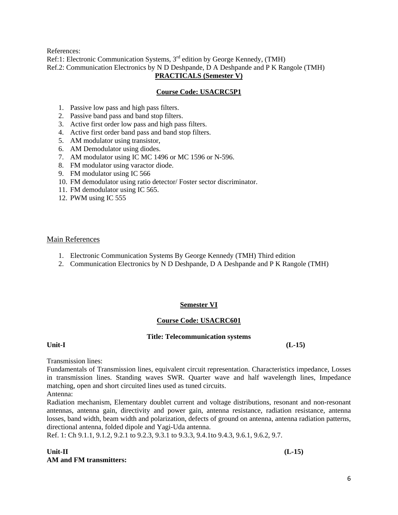References:

Ref:1: Electronic Communication Systems,  $3<sup>rd</sup>$  edition by George Kennedy, (TMH) Ref.2: Communication Electronics by N D Deshpande, D A Deshpande and P K Rangole (TMH) **PRACTICALS (Semester V)**

### **Course Code: USACRC5P1**

- 1. Passive low pass and high pass filters.
- 2. Passive band pass and band stop filters.
- 3. Active first order low pass and high pass filters.
- 4. Active first order band pass and band stop filters.
- 5. AM modulator using transistor,
- 6. AM Demodulator using diodes.
- 7. AM modulator using IC MC 1496 or MC 1596 or N-596.
- 8. FM modulator using varactor diode.
- 9. FM modulator using IC 566
- 10. FM demodulator using ratio detector/ Foster sector discriminator.
- 11. FM demodulator using IC 565.
- 12. PWM using IC 555

### Main References

- 1. Electronic Communication Systems By George Kennedy (TMH) Third edition
- 2. Communication Electronics by N D Deshpande, D A Deshpande and P K Rangole (TMH)

## **Semester VI**

## **Course Code: USACRC601**

### **Title: Telecommunication systems**

### Unit-I (L-15)

Transmission lines:

Fundamentals of Transmission lines, equivalent circuit representation. Characteristics impedance, Losses in transmission lines. Standing waves SWR. Quarter wave and half wavelength lines, Impedance matching, open and short circuited lines used as tuned circuits.

Antenna:

Radiation mechanism, Elementary doublet current and voltage distributions, resonant and non-resonant antennas, antenna gain, directivity and power gain, antenna resistance, radiation resistance, antenna losses, band width, beam width and polarization, defects of ground on antenna, antenna radiation patterns, directional antenna, folded dipole and Yagi-Uda antenna.

Ref. 1: Ch 9.1.1, 9.1.2, 9.2.1 to 9.2.3, 9.3.1 to 9.3.3, 9.4.1to 9.4.3, 9.6.1, 9.6.2, 9.7.

## Unit-II (L-15) **AM and FM transmitters:**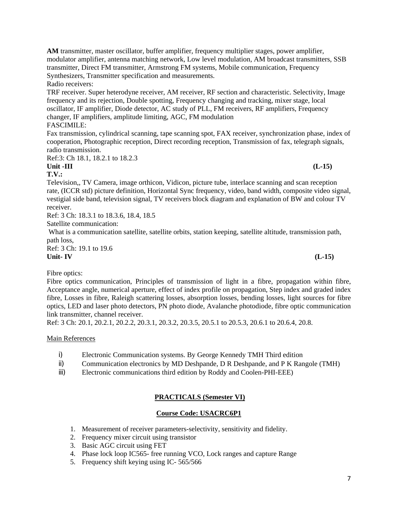**AM** transmitter, master oscillator, buffer amplifier, frequency multiplier stages, power amplifier, modulator amplifier, antenna matching network, Low level modulation, AM broadcast transmitters, SSB transmitter, Direct FM transmitter, Armstrong FM systems, Mobile communication, Frequency Synthesizers, Transmitter specification and measurements.

Radio receivers:

TRF receiver. Super heterodyne receiver, AM receiver, RF section and characteristic. Selectivity, Image frequency and its rejection, Double spotting, Frequency changing and tracking, mixer stage, local oscillator, IF amplifier, Diode detector, AC study of PLL, FM receivers, RF amplifiers, Frequency changer, IF amplifiers, amplitude limiting, AGC, FM modulation FASCIMILE:

Fax transmission, cylindrical scanning, tape scanning spot, FAX receiver, synchronization phase, index of cooperation, Photographic reception, Direct recording reception, Transmission of fax, telegraph signals, radio transmission.

Ref:3: Ch 18.1, 18.2.1 to 18.2.3

## Unit -III (L-15)

**T.V.:** 

Television,, TV Camera, image orthicon, Vidicon, picture tube, interlace scanning and scan reception rate, (ICCR std) picture definition, Horizontal Sync frequency, video, band width, composite video signal, vestigial side band, television signal, TV receivers block diagram and explanation of BW and colour TV receiver.

Ref: 3 Ch: 18.3.1 to 18.3.6, 18.4, 18.5

Satellite communication:

 What is a communication satellite, satellite orbits, station keeping, satellite altitude, transmission path, path loss,

Ref: 3 Ch: 19.1 to 19.6<br>Unit- IV **Unit- IV (L-15)** 

Fibre optics:

Fibre optics communication, Principles of transmission of light in a fibre, propagation within fibre, Acceptance angle, numerical aperture, effect of index profile on propagation, Step index and graded index fibre, Losses in fibre, Raleigh scattering losses, absorption losses, bending losses, light sources for fibre optics, LED and laser photo detectors, PN photo diode, Avalanche photodiode, fibre optic communication link transmitter, channel receiver.

Ref: 3 Ch: 20.1, 20.2.1, 20.2.2, 20.3.1, 20.3.2, 20.3.5, 20.5.1 to 20.5.3, 20.6.1 to 20.6.4, 20.8.

### Main References

- i) Electronic Communication systems. By George Kennedy TMH Third edition
- ii) Communication electronics by MD Deshpande, D R Deshpande, and P K Rangole (TMH)
- iii) Electronic communications third edition by Roddy and Coolen-PHI-EEE)

# **PRACTICALS (Semester VI)**

## **Course Code: USACRC6P1**

- 1. Measurement of receiver parameters-selectivity, sensitivity and fidelity.
- 2. Frequency mixer circuit using transistor
- 3. Basic AGC circuit using FET
- 4. Phase lock loop IC565- free running VCO, Lock ranges and capture Range
- 5. Frequency shift keying using IC- 565/566